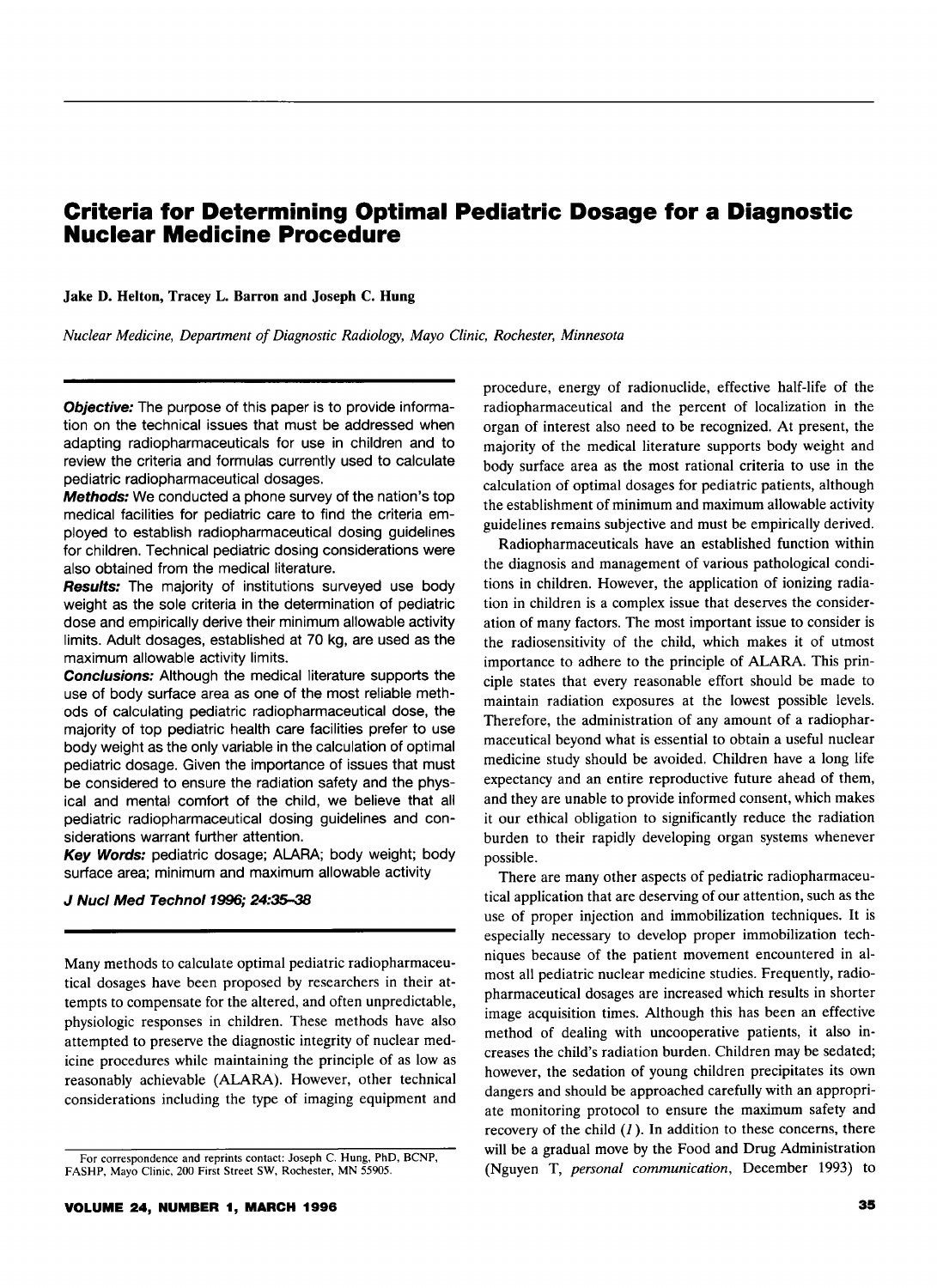# **Criteria for Determining Optimal Pediatric Dosage for a Diagnostic Nuclear Medicine Procedure**

Jake D. Helton, Tracey L. Barron and Joseph C. Hung

*Nuclear Medicine, Department of Diagnostic Radiology, Mayo Clinic, Rochester, Minnesota* 

**Objective:** The purpose of this paper is to provide information on the technical issues that must be addressed when adapting radiopharmaceuticals for use in children and to review the criteria and formulas currently used to calculate pediatric radiopharmaceutical dosages.

Methods: We conducted a phone survey of the nation's top medical facilities for pediatric care to find the criteria employed to establish radiopharmaceutical dosing guidelines for children. Technical pediatric dosing considerations were also obtained from the medical literature.

Results: The majority of institutions surveyed use body weight as the sole criteria in the determination of pediatric dose and empirically derive their minimum allowable activity limits. Adult dosages, established at 70 kg, are used as the maximum allowable activity limits.

**Conclusions:** Although the medical literature supports the use of body surface area as one of the most reliable methods of calculating pediatric radiopharmaceutical dose, the majority of top pediatric health care facilities prefer to use body weight as the only variable in the calculation of optimal pediatric dosage. Given the importance of issues that must be considered to ensure the radiation safety and the physical and mental comfort of the child, we believe that all pediatric radiopharmaceutical dosing guidelines and considerations warrant further attention.

Key Words: pediatric dosage; ALARA; body weight; body surface area; minimum and maximum allowable activity

#### *J* Nucl Med Technol1996; 24:35-38

Many methods to calculate optimal pediatric radiopharmaceutical dosages have been proposed by researchers in their attempts to compensate for the altered, and often unpredictable, physiologic responses in children. These methods have also attempted to preserve the diagnostic integrity of nuclear medicine procedures while maintaining the principle of as low as reasonably achievable (ALARA). However, other technical considerations including the type of imaging equipment and

procedure, energy of radionuclide, effective half-life of the radiopharmaceutical and the percent of localization in the organ of interest also need to be recognized. At present, the majority of the medical literature supports body weight and body surface area as the most rational criteria to use in the calculation of optimal dosages for pediatric patients, although the establishment of minimum and maximum allowable activity guidelines remains subjective and must be empirically derived.

Radiopharmaceuticals have an established function within the diagnosis and management of various pathological conditions in children. However, the application of ionizing radiation in children is a complex issue that deserves the consideration of many factors. The most important issue to consider is the radiosensitivity of the child, which makes it of utmost importance to adhere to the principle of ALARA. This principle states that every reasonable effort should be made to maintain radiation exposures at the lowest possible levels. Therefore, the administration of any amount of a radiopharmaceutical beyond what is essential to obtain a useful nuclear medicine study should be avoided. Children have a long life expectancy and an entire reproductive future ahead of them, and they are unable to provide informed consent, which makes it our ethical obligation to significantly reduce the radiation burden to their rapidly developing organ systems whenever possible.

There are many other aspects of pediatric radiopharmaceutical application that are deserving of our attention, such as the use of proper injection and immobilization techniques. It is especially necessary to develop proper immobilization techniques because of the patient movement encountered in almost all pediatric nuclear medicine studies. Frequently, radiopharmaceutical dosages are increased which results in shorter image acquisition times. Although this has been an effective method of dealing with uncooperative patients, it also increases the child's radiation burden. Children may be sedated; however, the sedation of young children precipitates its own dangers and should be approached carefully with an appropriate monitoring protocol to ensure the maximum safety and recovery of the child *(1* ). In addition to these concerns, there will be a gradual move by the Food and Drug Administration (Nguyen T, *personal communication,* December 1993) to

For correspondence and reprints contact: Joseph C. Hung, PhD, BCNP, FASHP, Mayo Clinic, 200 First Street SW, Rochester, MN 55905.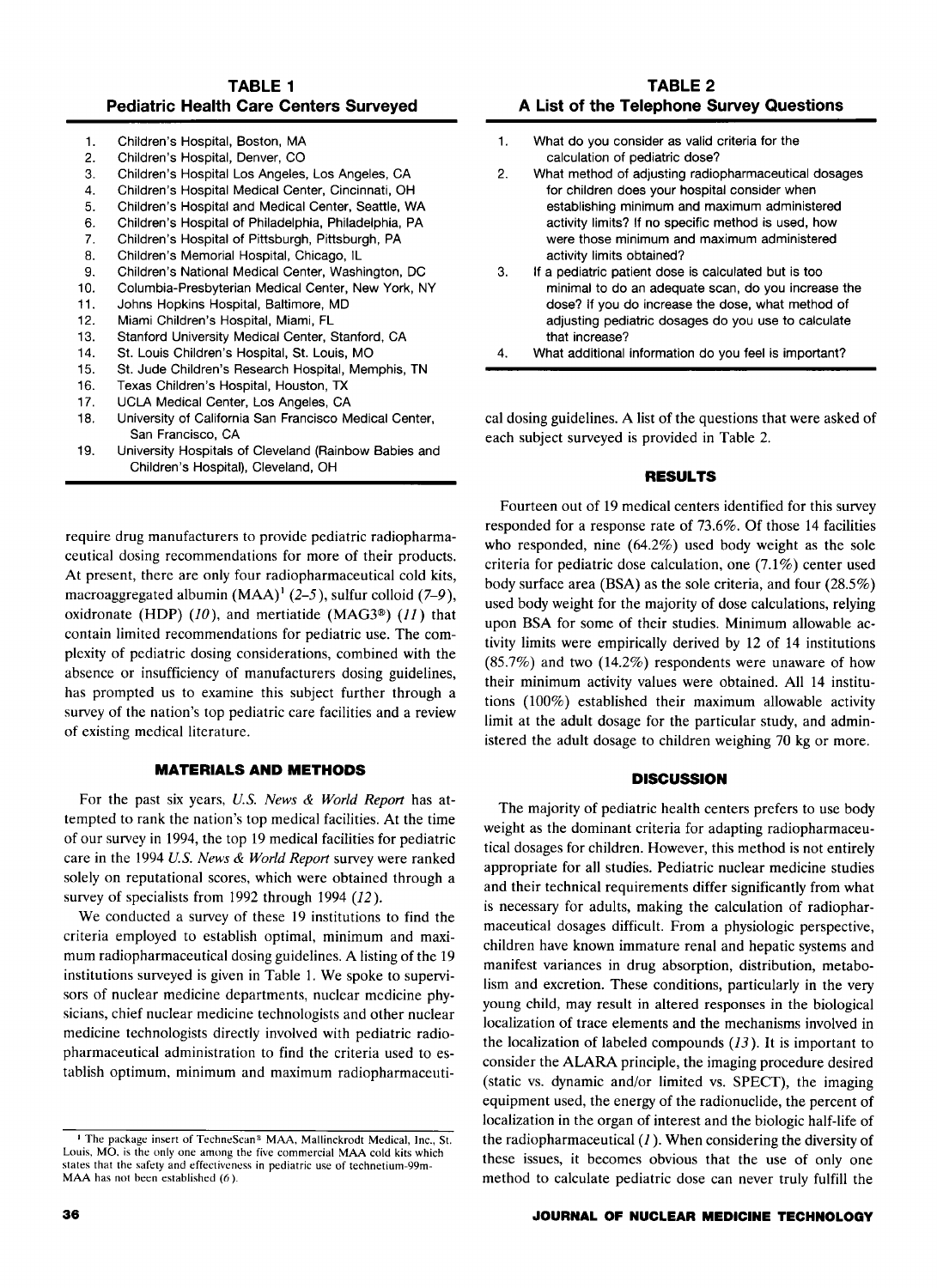### **TABLE 1 Pediatric Health Care Centers Surveyed**

| 1. | Children's Hospital, Boston, MA                       |
|----|-------------------------------------------------------|
| 2. | Children's Hospital, Denver, CO                       |
| 3. | Children's Hospital Los Angeles, Los Angeles, CA      |
| 4. | Children's Hospital Medical Center, Cincinnati, OH    |
| 5. | Children's Hospital and Medical Center, Seattle, WA   |
| 6. | Children's Hospital of Philadelphia, Philadelphia, PA |
| 7. | Children's Hospital of Pittsburgh, Pittsburgh, PA     |
| я  | Children's Memorial Hospital Chicago, Il              |

- Memorial Hospital, Chicago, I
- 9. Children's National Medical Center, Washington, DC
- 10. Columbia-Presbyterian Medical Center, New York, NY
- 11. Johns Hopkins Hospital, Baltimore, MD
- 12. Miami Children's Hospital, Miami, FL
- 13. Stanford University Medical Center, Stanford, CA
- 14. St. Louis Children's Hospital, St. Louis, MO
- 15. St. Jude Children's Research Hospital, Memphis, TN
- 16. Texas Children's Hospital, Houston, TX
- 17. UCLA Medical Center, Los Angeles, CA
- 18. University of California San Francisco Medical Center, San Francisco, CA
- 19. University Hospitals of Cleveland (Rainbow Babies and Children's Hospital), Cleveland, OH

require drug manufacturers to provide pediatric radiopharmaceutical dosing recommendations for more of their products. At present, there are only four radiopharmaceutical cold kits, macroaggregated albumin  $(MAA)^1$  (2-5), sulfur colloid (7-9), oxidronate (HDP)  $(10)$ , and mertiatide (MAG3<sup>®</sup>)  $(11)$  that contain limited recommendations for pediatric use. The complexity of pediatric dosing considerations, combined with the absence or insufficiency of manufacturers dosing guidelines, has prompted us to examine this subject further through a survey of the nation's top pediatric care facilities and a review of existing medical literature.

# **MATERIALS AND METHODS**

For the past six years, *U.S. News* & *World Report* has attempted to rank the nation's top medical facilities. At the time of our survey in 1994, the top 19 medical facilities for pediatric care in the 1994 *U.S. News* & *World Report* survey were ranked solely on reputational scores, which were obtained through a survey of specialists from 1992 through 1994 *(12* ).

We conducted a survey of these 19 institutions to find the criteria employed to establish optimal, minimum and maximum radiopharmaceutical dosing guidelines. A listing of the 19 institutions surveyed is given in Table 1. We spoke to supervisors of nuclear medicine departments, nuclear medicine physicians, chief nuclear medicine technologists and other nuclear medicine technologists directly involved with pediatric radiopharmaceutical administration to find the criteria used to establish optimum, minimum and maximum radiopharmaceuti-

- 1. What do you consider as valid criteria for the calculation of pediatric dose?
- 2. What method of adjusting radiopharmaceutical dosages for children does your hospital consider when establishing minimum and maximum administered activity limits? If no specific method is used, how were those minimum and maximum administered activity limits obtained?
- 3. If a pediatric patient dose is calculated but is too minimal to do an adequate scan, do you increase the dose? If you do increase the dose, what method of adjusting pediatric dosages do you use to calculate that increase?
- 4. What additional information do you feel is important?

cal dosing guidelines. A list of the questions that were asked of each subject surveyed is provided in Table 2.

# **RESULTS**

Fourteen out of 19 medical centers identified for this survey responded for a response rate of 73.6%. Of those 14 facilities who responded, nine (64.2%) used body weight as the sole criteria for pediatric dose calculation, one (7.1%) center used body surface area (BSA) as the sole criteria, and four (28.5%) used body weight for the majority of dose calculations, relying upon BSA for some of their studies. Minimum allowable activity limits were empirically derived by 12 of 14 institutions  $(85.7%)$  and two  $(14.2%)$  respondents were unaware of how their minimum activity values were obtained. All 14 institutions (100%) established their maximum allowable activity limit at the adult dosage for the particular study, and administered the adult dosage to children weighing 70 kg or more.

#### **DISCUSSION**

The majority of pediatric health centers prefers to use body weight as the dominant criteria for adapting radiopharmaceutical dosages for children. However, this method is not entirely appropriate for all studies. Pediatric nuclear medicine studies and their technical requirements differ significantly from what is necessary for adults, making the calculation of radiopharmaceutical dosages difficult. From a physiologic perspective, children have known immature renal and hepatic systems and manifest variances in drug absorption, distribution, metabolism and excretion. These conditions, particularly in the very young child, may result in altered responses in the biological localization of trace elements and the mechanisms involved in the localization of labeled compounds  $(13)$ . It is important to consider the ALARA principle, the imaging procedure desired (static vs. dynamic and/or limited vs. SPECT), the imaging equipment used, the energy of the radionuclide, the percent of localization in the organ of interest and the biologic half-life of the radiopharmaceutical  $(1)$ . When considering the diversity of these issues, it becomes obvious that the use of only one method to calculate pediatric dose can never truly fulfill the

#### **JOURNAL OF NUCLEAR MEDICINE TECHNOLOGY**

<sup>&</sup>lt;sup>1</sup> The package insert of TechneScan<sup>®</sup> MAA, Mallinckrodt Medical, Inc., St. Louis, MO. is the only one among the five commercial MAA cold kits which states that the safety and effectiveness in pediatric use of technetium-99m-MAA has not been established (6 ).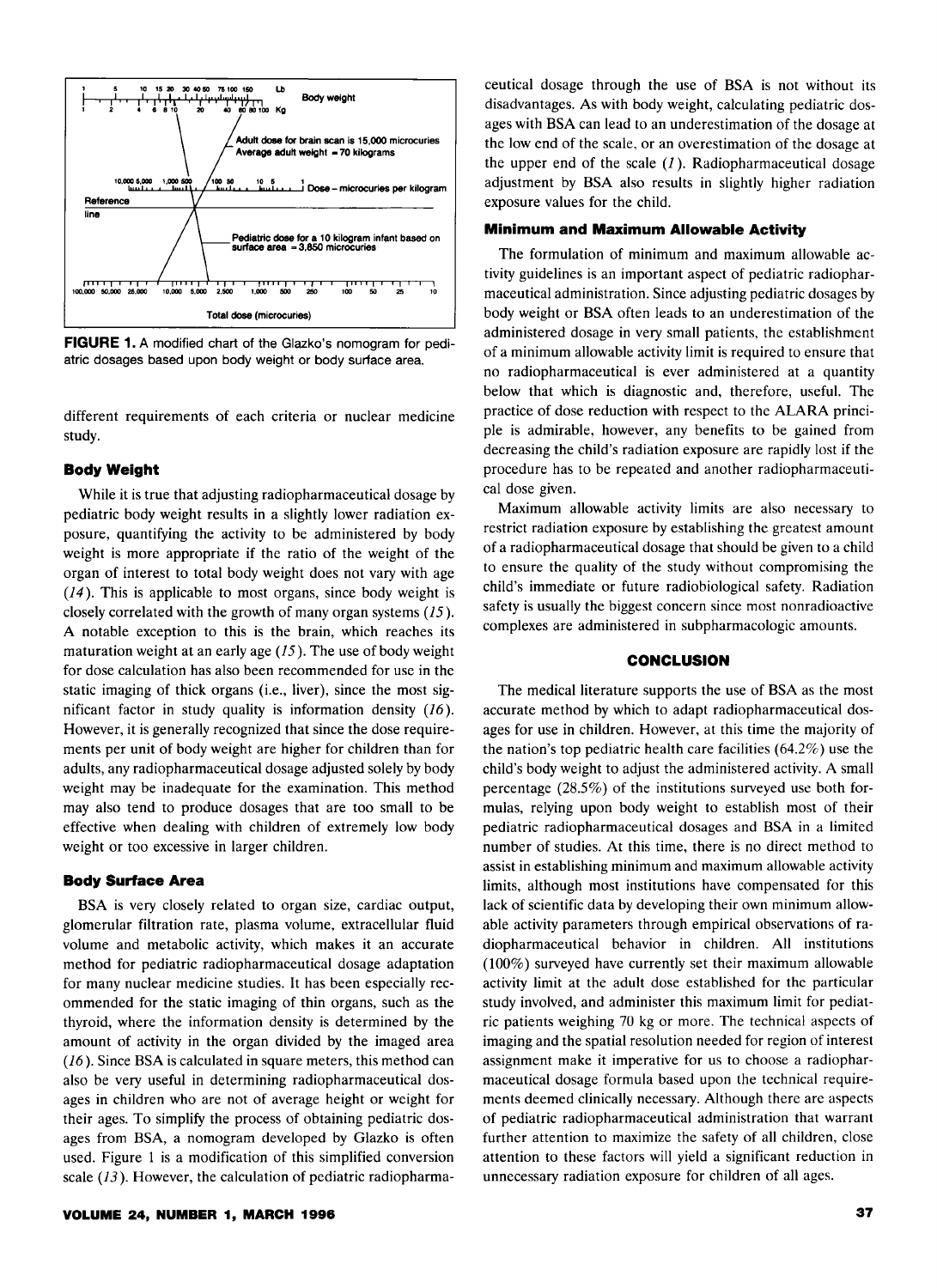

**FIGURE 1.** A modified chart of the Glazko's nomogram for pediatric dosages based upon body weight or body surface area.

different requirements of each criteria or nuclear medicine study.

#### **Body Weight**

While it is true that adjusting radiopharmaceutical dosage by pediatric body weight results in a slightly lower radiation exposure, quantifying the activity to be administered by body weight is more appropriate if the ratio of the weight of the organ of interest to total body weight does not vary with age *(14).* This is applicable to most organs, since body weight is closely correlated with the growth of many organ systems *(15* ). A notable exception to this is the brain, which reaches its maturation weight at an early age  $(15)$ . The use of body weight for dose calculation has also been recommended for use in the static imaging of thick organs (i.e., liver), since the most significant factor in study quality is information density *(16* ). However, it is generally recognized that since the dose requirements per unit of body weight are higher for children than for adults, any radiopharmaceutical dosage adjusted solely by body weight may be inadequate for the examination. This method may also tend to produce dosages that are too small to be effective when dealing with children of extremely low body weight or too excessive in larger children.

#### **Body Surface Area**

BSA is very closely related to organ size, cardiac output, glomerular filtration rate, plasma volume, extracellular fluid volume and metabolic activity, which makes it an accurate method for pediatric radiopharmaceutical dosage adaptation for many nuclear medicine studies. It has been especially recommended for the static imaging of thin organs, such as the thyroid, where the information density is determined by the amount of activity in the organ divided by the imaged area *(16* ). Since BSA is calculated in square meters, this method can also be very useful in determining radiopharmaceutical dosages in children who are not of average height or weight for their ages. To simplify the process of obtaining pediatric dosages from BSA, a nomogram developed by Glazko is often used. Figure 1 is a modification of this simplified conversion scale (13). However, the calculation of pediatric radiopharmaceutical dosage through the use of BSA is not without its disadvantages. As with body weight, calculating pediatric dosages with BSA can lead to an underestimation of the dosage at the low end of the scale, or an overestimation of the dosage at the upper end of the scale  $(1)$ . Radiopharmaceutical dosage adjustment by BSA also results in slightly higher radiation exposure values for the child.

# **Minimum and Maximum Allowable Activity**

The formulation of minimum and maximum allowable activity guidelines is an important aspect of pediatric radiopharmaceutical administration. Since adjusting pediatric dosages by body weight or BSA often leads to an underestimation of the administered dosage in very small patients, the establishment of a minimum allowable activity limit is required to ensure that no radiopharmaceutical is ever administered at a quantity below that which is diagnostic and, therefore, useful. The practice of dose reduction with respect to the ALARA principle is admirable, however, any benefits to be gained from decreasing the child's radiation exposure are rapidly lost if the procedure has to be repeated and another radiopharmaceutical dose given.

Maximum allowable activity limits are also necessary to restrict radiation exposure by establishing the greatest amount of a radiopharmaceutical dosage that should be given to a child to ensure the quality of the study without compromising the child's immediate or future radiobiological safety. Radiation safety is usually the biggest concern since most nonradioactive complexes are administered in subpharmacologic amounts.

#### **CONCLUSION**

The medical literature supports the use of BSA as the most accurate method by which to adapt radiopharmaceutical dosages for use in children. However, at this time the majority of the nation's top pediatric health care facilities  $(64.2\%)$  use the child's body weight to adjust the administered activity. A small percentage (28.5%) of the institutions surveyed use both formulas, relying upon body weight to establish most of their pediatric radiopharmaceutical dosages and BSA in a limited number of studies. At this time, there is no direct method to assist in establishing minimum and maximum allowable activity limits, although most institutions have compensated for this lack of scientific data by developing their own minimum allowable activity parameters through empirical observations of radiopharmaceutical behavior in children. All institutions (100%) surveyed have currently set their maximum allowable activity limit at the adult dose established for the particular study involved, and administer this maximum limit for pediatric patients weighing 70 kg or more. The technical aspects of imaging and the spatial resolution needed for region of interest assignment make it imperative for us to choose a radiopharmaceutical dosage formula based upon the technical requirements deemed clinically necessary. Although there are aspects of pediatric radiopharmaceutical administration that warrant further attention to maximize the safety of all children, close attention to these factors will yield a significant reduction in unnecessary radiation exposure for children of all ages.